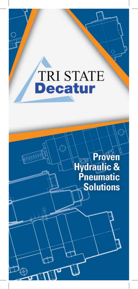# **TRI STATE**

**Proven**<br> **Hydraulic &<br>
Pneumatic**<br> **Solutions**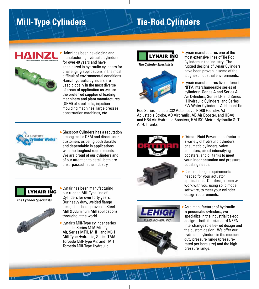# **Mill-Type Cylinders Tie-Rod Cylinders**



 Hainzl has been developing and manufacturing hydraulic cylinders for over 40 years and have specialized in hydraulic cylinders for challenging applications in the most difficult of environmental conditions. Hainzl hydraulic cylinders are used globally in the most diverse of areas of application as we are the preferred supplier of leading machinery and plant manufactures (OEM) of steel mills, injection moulding machines, large presses, construction machines, etc.



Glassport Cylinders has a reputation among major OEM and direct-user customers as being both durable and dependable in applications with the toughest requirements. We are proud of our cylinders and of our attention to detail; both are unsurpassed in the industry.



**The Cylinder Specialists** 



 Lynair has been manufacturing our rugged Mill-Type line of Cylinders for over forty years. Our heavy duty, welded flange design has been proven in Steel Mill & Aluminum Mill applications throughout the world.

 Lynair's Mill-Type cylinder series include: Series MTA Mill-Type Air, Series MTH, MHH, and M3H Mill-Type Hydraulic, Series TMA Torpedo Mill-Type Air, and TMH Torpedo Mill-Type Hydraulic.



**The Cylinder Specialists** 



 Lynair manufactures one of the most extensive lines of Tie Rod Cylinders in the industry. The rugged designs of Lynair Cylinders have been proven in some of the toughest industrial environments.

 Lynair manufactures five different NFPA interchangeable series of cylinders: Series A and Series AL Air Cylinders, Series LH and Series H Hydraulic Cylinders, and Series PW Water Cylinders. Additional Tie

Rod Series include CS2 Automotive, F-800 Foundry, AJ Adjustable Stroke, AD Airdraulic, AB Air Booster, and HBA8 and HB4 Air-Hydraulic Boosters, HM ISO Metric Hydraulic & 'T' Air-Oil Tanks.





- Ortman Fluid Power manufactures a variety of hydraulic cylinders, pneumatic cylinders, valve actuators, air-oil intensifying boosters, and oil tanks to meet your linear actuation and pressure boosting needs.
- Custom design requirements needed for your actuator applications. Our design team will work with you, using solid model software, to meet your cylinder design requirements.





 As a manufacturer of hydraulic & pneumatic cylinders, we specialize in the industrial tie-rod design – both the standard NFPA Interchangeable tie-rod design and the custom design. We offer our hydraulic cylinders in the medium duty pressure range (pressurerated per bore size) and the high pressure range.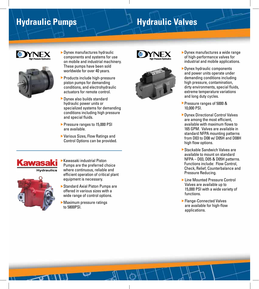# **Hydraulic Pumps Hydraulic Valves**





- Dynex manufactures hydraulic components and systems for use on mobile and industrial machinery. These pumps have been sold worldwide for over 40 years.
- **Products include high-pressure** piston pumps for demanding conditions, and electrohydraulic actuators for remote control.
- Dynex also builds standard hydraulic power units or specialized systems for demanding conditions including high pressure and special fluids.
- Pressure ranges to 15,000 PSI are available.
- Various Sizes, Flow Ratings and Control Options can be provided.



- Kawasaki industrial Piston Pumps are the preferred choice where continuous, reliable and efficient operation of critical plant equipment is necessary.
- ▶ Standard Axial Piston Pumps are offered in various sizes with a wide range of control options.
	- Maximum pressure ratings to 5800PSI.





- ▶ Dynex manufactures a wide range of high-performance valves for industrial and mobile applications.
- Dynex hydraulic components and power units operate under demanding conditions including high pressure, contamination, dirty environments, special fluids, extreme temperature variations and long duty cycles.
- Pressure ranges of 5000 & 10,000 PSI.
- ▶ Dynex Directional Control Valves are among the most efficient, available with maximum flows to 165 GPM. Valves are available in standard NFPA mounting patterns from D03 to D08 w/ D05H and D08H high flow options.
- Stackable Sandwich Valves are available to mount on standard NFPA – D03, D05 & D05H patterns. Functions include: Flow Control, Check, Relief, Counterbalance and Pressure Reducing.
- ▶ Line Mounted Pressure Control Valves are available up to 15,000 PSI with a wide variety of functions.
- ▶ Flange-Connected Valves are available for high-flow applications.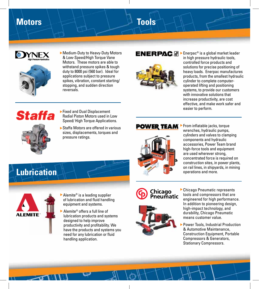## **Motors Tools**





 Medium-Duty to Heavy-Duty Motors & Low-Speed/High Torque Vane Motors. These motors are able to withstand pressure spikes & tough duty to 8000 psi (560 bar). Ideal for applications subject to pressure spikes, vibration, constant starting/ stopping, and sudden direction reversals.

# Staffa



▶ Staffa Motors are offered in various sizes, displacements, torques and pressure ratings.



ENERPAC.  $\textcolor{blue}{\textcolor{blue}{\mathcal{O}}}\blacktriangleright$  Enerpac® is a global market leader in high pressure hydraulic tools, controlled force products and solutions for precise positioning of heavy loads. Enerpac manufactures products, from the smallest hydraulic cylinder to complete computeroperated lifting and positioning systems, to provide our customers with innovative solutions that increase productivity, are cost effective, and make work safer and easier to perform.

## **POWER TEAM**



**From inflatable jacks, torque** wrenches, hydraulic pumps, cylinders and valves to clamping components and hydraulic accessories, Power Team brand high-force tools and equipment are used wherever strong, concentrated force is required on construction sites, in power plants, on rail lines, in shipyards, in mining





- Alemite<sup>®</sup> is a leading supplier of lubrication and fluid handling equipment and systems.
- Alemite® offers a full line of lubrication products and systems designed to help improve productivity and profitability. We have the products and systems you need for any lubrication or fluid handling application.

## Chicago Pneumatic



- Chicago Pneumatic represents tools and compressors that are engineered for high performance. In addition to pioneering design, high-impact technology, and durability, Chicago Pneumatic means customer value.
- Power Tools, Industrial Production & Automotive Maintenance, Construction Equipment, Portable Compressors & Generators, Stationary Compressors.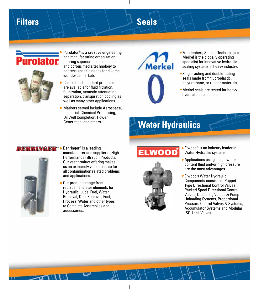# Filters **Example 2018** Seals





- Purolator® is a creative engineering and manufacturing organization offering superior fluid mechanics and porous media technology to address specific needs for diverse worldwide markets.
- ▶ Custom and standard products are available for fluid filtration, fluidization, acoustic attenuation, separation, transpiration cooling as well as many other applications.
- Markets served include Aerospace, Industrial, Chemical Processing, Oil Well Completion, Power Generation, and others.



- Freudenberg Sealing Technologies Merkel is the globally operating specialist for innovative hydraulic sealing systems in heavy industry.
- Single-acting and double-acting seals made from fluoroplastic, polyurethane, or rubber materials.
- Merkel seals are tested for heavy hydraulic applications.

# **Water Hydraulics**

## TRINGER\*



- $\blacktriangleright$  Behringer<sup>®</sup> is a leading manufacturer and supplier of High-Performance Filtration Products. Our vast product offering makes us an extremely viable source for all contamination related problems and applications.
- ▶ Our products range from replacement filter elements for Hydraulic, Lube, Fuel, Water Removal, Dust Removal, Fuel, Process, Water and other types to Complete Assemblies and accessories.

# WOOD



- ▶ Elwood<sup>®</sup> is an industry leader in Water Hydraulic systems.
- ▶ Applications using a high water content fluid and/or high pressure are the most advantages.
- Elwood's Water Hydraulic Components consist of: Poppet Type Directional Control Valves, Packed Spool Directional Control Valves, Descaling Values & Pump Unloading Systems, Proportional Pressure Control Valves & Systems, Accumulator Systems and Modular ISO-Lock Valves.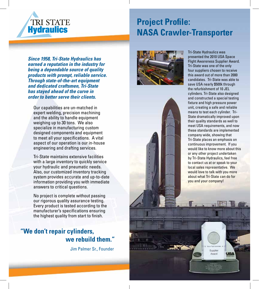

# **Project Profile: NASA Crawler-Transporter**

*Since 1958, Tri-State Hydraulics has earned a reputation in the industry for being a dependable source of quality products with prompt, reliable service. Through state-of-the-art equipment and dedicated craftsmen, Tri-State has stayed ahead of the curve in order to better serve their clients.*

Our capabilities are un-matched in expert welding, precision machining and the ability to handle equipment weighing up to 30 tons. We also specialize in manufacturing custom designed components and equipment to meet all your specifications. A vital aspect of our operation is our in-house engineering and drafting services.

Tri-State maintains extensive facilities with a large inventory to quickly service your hydraulic and pneumatic needs. Also, our customized inventory tracking system provides accurate and up-to-date information providing you with immediate answers to critical questions.

No project is complete without passing our rigorous quality assurance testing. Every product is tested according to the manufacturer's specifications ensuring the highest quality from start to finish.

## **"We don't repair cylinders, we rebuild them."**

Jim Palmer Sr., Founder





Tri-State Hydraulics was presented the 2010 USA Space Flight Awareness Supplier Award. Tri-State was one of the only four suppliers chosen to receive this award out of more than 2000 candidates. Tri-State was able to save USA nearly \$500k through the refurbishment of 10 JEL cylinders. Tri-State also designed and constructed a special testing fixture and high pressure power unit, creating a safe and reliable means to test each cylinder. Tri-State dramatically improved upon their quality standards as well to meet USA requirements, and now these standards are implemented company wide, showing that Tri-State places an emphasis on continuous improvement. If you would like to know more about this or any other project undertaken by Tri-State Hydraulics, feel free to contact us at or speak to your local sales representative. We would love to talk with you more about what Tri-State can do for you and your company!

Supplier

Award

US!